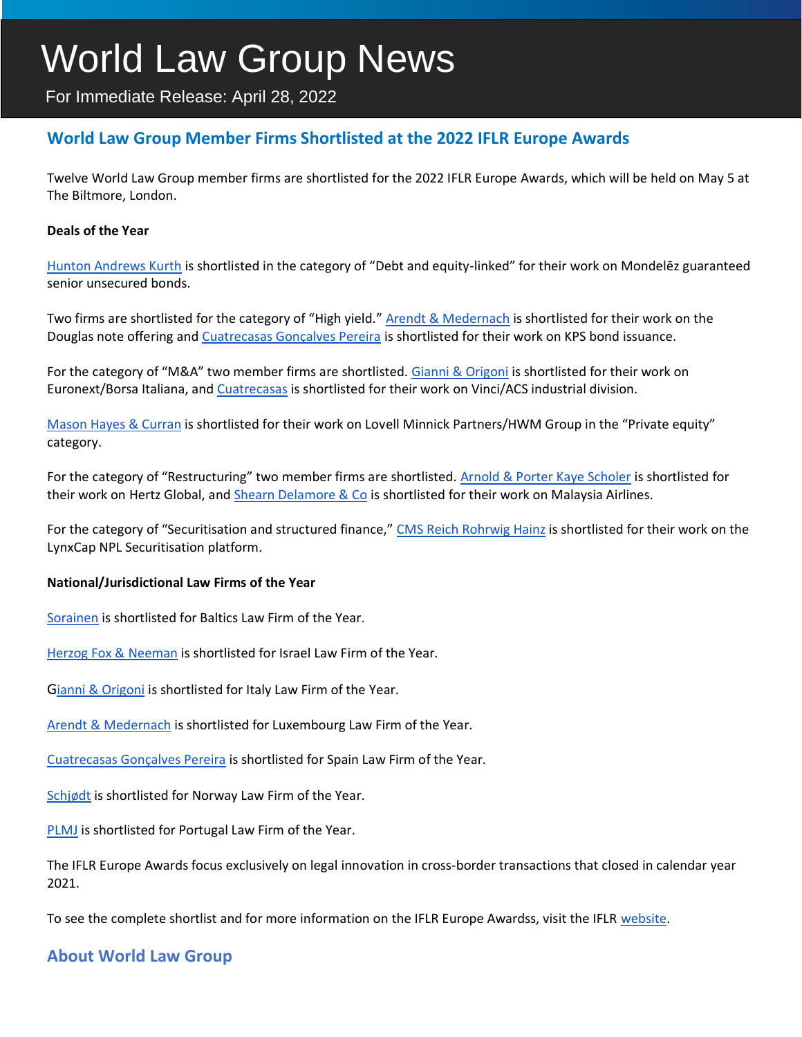# World Law Group News

For Immediate Release: April 28, 2022

## **World Law Group Member Firms Shortlisted at the 2022 IFLR Europe Awards**

Twelve World Law Group member firms are shortlisted for the 2022 IFLR Europe Awards, which will be held on May 5 at The Biltmore, London.

#### **Deals of the Year**

[Hunton Andrews Kurth](https://www.theworldlawgroup.com/member-firms/hunton-andrews-kurth) is shortlisted in the category of "Debt and equity-linked" for their work on Mondelēz guaranteed senior unsecured bonds.

Two firms are shortlisted for the category of "High yield." [Arendt & Medernach](https://www.theworldlawgroup.com/member-firms/arendt-medernach) is shortlisted for their work on the Douglas note offering and [Cuatrecasas Gonçalves Pereira](https://www.theworldlawgroup.com/member-firms/cuatrecasas) is shortlisted for their work on KPS bond issuance.

For the category of "M&A" two member firms are shortlisted. [Gianni & Origoni](https://www.theworldlawgroup.com/member-firms/gianni-origoni-grippo-cappelli-partners) is shortlisted for their work on Euronext/Borsa Italiana, and [Cuatrecasas](https://www.theworldlawgroup.com/member-firms/cuatrecasas) is shortlisted for their work on Vinci/ACS industrial division.

[Mason Hayes & Curran](https://www.theworldlawgroup.com/member-firms/mason-hayes-curran) is shortlisted for their work on Lovell Minnick Partners/HWM Group in the "Private equity" category.

For the category of "Restructuring" two member firms are shortlisted. [Arnold & Porter Kaye Scholer](https://www.theworldlawgroup.com/member-firms/arnold-porter) is shortlisted for their work on Hertz Global, and [Shearn Delamore & Co](https://www.theworldlawgroup.com/member-firms/shearn-delamore-co) is shortlisted for their work on Malaysia Airlines.

For the category of "Securitisation and structured finance," [CMS Reich Rohrwig Hainz](https://www.theworldlawgroup.com/member-firms/cms-reich-rohrwig-hainz) is shortlisted for their work on the LynxCap NPL Securitisation platform.

#### **National/Jurisdictional Law Firms of the Year**

[Sorainen](https://www.theworldlawgroup.com/member-firms/sorainen) is shortlisted for Baltics Law Firm of the Year.

[Herzog Fox & Neeman](https://www.theworldlawgroup.com/member-firms/herzog-fox-neeman) is shortlisted for Israel Law Firm of the Year.

[G](https://www.theworldlawgroup.com/member-firms/gianni-origoni-grippo-cappelli-partners)[ianni & Origoni](https://www.theworldlawgroup.com/member-firms/gianni-origoni-grippo-cappelli-partners) is shortlisted for Italy Law Firm of the Year.

[Arendt & Medernach](https://www.theworldlawgroup.com/member-firms/arendt-medernach) is shortlisted for Luxembourg Law Firm of the Year.

[Cuatrecasas Gonçalves Pereira](https://www.theworldlawgroup.com/member-firms/cuatrecasas) is shortlisted for Spain Law Firm of the Year.

[Schjødt](https://www.theworldlawgroup.com/member-firms/advokatfirmaet-schj%C3%B8dt) is shortlisted for Norway Law Firm of the Year.

[PLMJ](https://www.theworldlawgroup.com/member-firms/plmj) is shortlisted for Portugal Law Firm of the Year.

The IFLR Europe Awards focus exclusively on legal innovation in cross-border transactions that closed in calendar year 2021.

To see the complete shortlist and for more information on the IFLR Europe Awardss, visit the IFLR [website.](https://www.iflr.com/article/b1x6xq95789y3f/iflr-europe-awards-2022-shortlist-revealed)

### **About World Law Group**